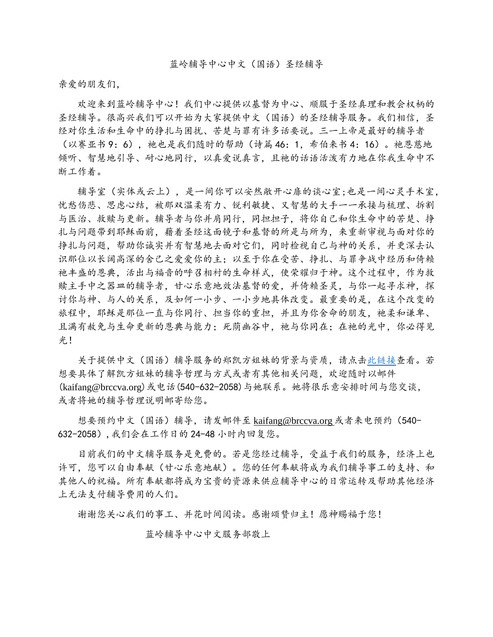亲爱的朋友们,

欢迎来到蓝岭辅导中心!我们中心提供以基督为中心、顺服于圣经真理和教会权柄的 圣经辅导。很高兴我们可以开始为大家提供中文(国语)的圣经辅导服务。我们相信,圣 经对你生活和生命中的挣扎与困扰、苦楚与罪有许多话要说。三一上帝是最好的辅导者 (以赛亚书 9:6), 祂也是我们随时的帮助(诗篇 46:1, 希伯来书 4:16)。祂恩慈地 倾听、智慧地引导、耐心地同行,以真爱说真言,且祂的话语活泼有力地在你我生命中不 断工作着。

辅导室(实体或云上),是一间你可以安然敞开心扉的谈心室;也是一间心灵手术室, 忧愁伤悲、思虑心结,被那双温柔有力、锐利敏捷、又智慧的大手一一承接与梳理、拆割 与医治、救赎与更新。辅导者与你并肩同行,同担担子,将你自己和你生命中的苦楚、挣 扎与问题带到耶稣面前,藉着圣经这面镜子和基督的所是与所为,来重新审视与面对你的 挣扎与问题,帮助你诚实并有智慧地去面对它们,同时检视自己与神的关系,并更深去认 识那位以长阔高深的舍己之爱爱你的主;以至于你在受苦、挣扎、与罪争战中经历和倚赖 祂丰盛的恩典,活出与福音的呼召相衬的生命样式,使荣耀归于神。这个过程中,作为救 赎主手中之器皿的辅导者,甘心乐意地效法基督的爱,并倚赖圣灵,与你一起寻求神,探 讨你与神、与人的关系,及如何一小步、一小步地具体改变。最重要的是,在这个改变的 旅程中,耶稣是那位一直与你同行、担当你的重担,并且为你舍命的朋友,祂柔和谦卑、 且满有赦免与生命更新的恩典与能力;死荫幽谷中,祂与你同在;在祂的光中,你必得见 光!

 关于提供中文(国语)辅导服务的郑凯方姐妹的背景与资质,请点[击此链接查](https://brccva.org/services/mandarin-services/)看。若 想要具体了解凯方姐妹的辅导哲理与方式或者有其他相关问题,欢迎随时以邮件 (kaifang@brccva.org)或电话(540-632-2058)与她联系。她将很乐意安排时间与您交谈, 或者将她的辅导哲理说明邮寄给您。

想要预约中文(国语)辅导,请发邮件至 [kaifang@brccva.org](mailto:请发邮件至kaifang@brccva.org或者来电预约（540-632-2058）,我们会在工作日的24-48) 或者来电预约(540- 632-2058),[我们会在工作日的](mailto:请发邮件至kaifang@brccva.org或者来电预约（540-632-2058）,我们会在工作日的24-48) 24-48 小时内回复您。

目前我们的中文辅导服务是免费的。若是您经过辅导,受益于我们的服务,经济上也 许可,您可以自由奉献(甘心乐意地献)。您的任何奉献将成为我们辅导事工的支持、和 其他人的祝福。所有奉献都将成为宝贵的资源来供应辅导中心的日常运转及帮助其他经济 上无法支付辅导费用的人们。

谢谢您关心我们的事工、并花时间阅读。感谢颂赞归主!愿神赐福于您!

蓝岭辅导中心中文服务部敬上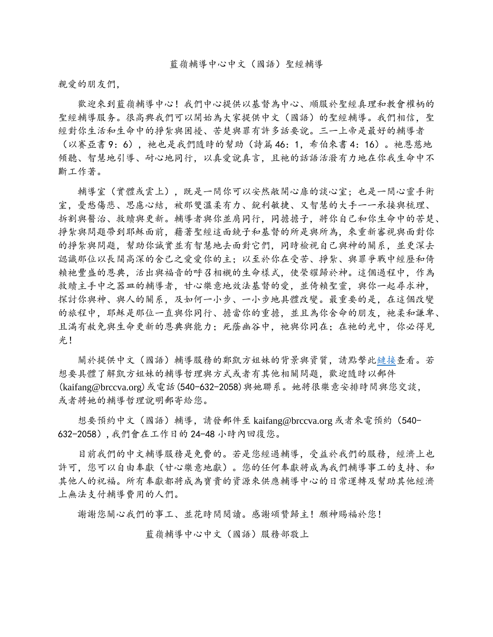親愛的朋友們,

 歡迎來到藍嶺輔導中心!我們中心提供以基督為中心、順服於聖經真理和教會權柄的 聖經輔導服务。很高興我們可以開始為大家提供中文(國語)的聖經輔導。我們相信, 聖 經對你生活和生命中的掙紮與困擾、苦楚與罪有許多話要說。三一上帝是最好的輔導者 (以賽亞書 9:6), 祂也是我們隨時的幫助(詩篇 46:1, 希伯來書 4:16)。祂恩慈地 傾聽、智慧地引導、耐心地同行,以真愛說真言,且祂的話語活潑有力地在你我生命中不 斷工作著。

 輔導室(實體或雲上),既是一間你可以安然敞開心扉的談心室; 也是一間心靈手術 室, 憂愁傷悲、思慮心結, 被那雙溫柔有力、銳利敏捷、又智慧的大手一一承接與梳理、 拆割與醫治、救贖與更新。輔導者與你並肩同行,同擔擔子,將你自己和你生命中的苦楚、 掙紮與問題帶到耶穌面前,藉著聖經這面鏡子和基督的所是與所為,來重新審視與面對你 的掙紮與問題,幫助你誠實並有智慧地去面對它們,同時檢視自己與神的關系,並更深去 認識那位以長闊高深的舍己之愛愛你的主;以至於你在受苦、掙紮、與罪爭戰中經歷和倚 賴祂豐盛的恩典,活出與福音的呼召相襯的生命樣式,使榮耀歸於神。這個過程中,作為 救贖主手中之器皿的輔導者,甘心樂意地效法基督的愛,並倚賴聖靈,與你一起尋求神, 探討你與神、與人的關系,及如何一小步、一小步地具體改變。最重要的是,在這個改變 的旅程中,耶穌是那位一直與你同行、擔當你的重擔,並且為你舍命的朋友,祂柔和謙卑、 且滿有赦免與生命更新的恩典與能力;死蔭幽谷中,祂與你同在;在祂的光中,你必得見 光!

 關於提供中文(國語)輔導服務的鄭凱方姐妹的背景與資質,請點擊[此鏈接查](https://brccva.org/services/mandarin-services/)看。若 想要具體了解凱方姐妹的輔導哲理與方式或者有其他相關問題,歡迎隨時以郵件 (kaifang@brccva.org)或電話(540-632-2058)與她聯系。她將很樂意安排時間與您交談, 或者將她的輔導哲理說明郵寄給您。

想要預約中文(國語)輔導,請發郵件至 kaifang@brccva.org 或者來電預約(540-632-2058),我們會在工作日的 24-48 小時內回復您。

 目前我們的中文輔導服務是免費的。若是您經過輔導,受益於我們的服務,經濟上也 許可,您可以自由奉獻(甘心樂意地獻)。您的任何奉獻將成為我們輔導事工的支持、和 其他人的祝福。所有奉獻都將成為寶貴的資源來供應輔導中心的日常運轉及幫助其他經濟 上無法支付輔導費用的人們。

謝謝您關心我們的事工、並花時間閱讀。感謝頌贊歸主!願神賜福於您!

藍嶺輔導中心中文(國語)服務部敬上